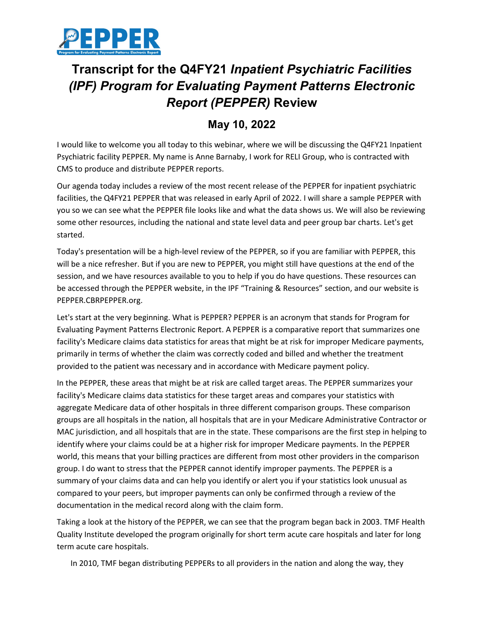

## **Transcript for the Q4FY21** *Inpatient Psychiatric Facilities (IPF) Program for Evaluating Payment Patterns Electronic Report (PEPPER)* **Review**

## **May 10, 2022**

I would like to welcome you all today to this webinar, where we will be discussing the Q4FY21 Inpatient Psychiatric facility PEPPER. My name is Anne Barnaby, I work for RELI Group, who is contracted with CMS to produce and distribute PEPPER reports.

Our agenda today includes a review of the most recent release of the PEPPER for inpatient psychiatric facilities, the Q4FY21 PEPPER that was released in early April of 2022. I will share a sample PEPPER with you so we can see what the PEPPER file looks like and what the data shows us. We will also be reviewing some other resources, including the national and state level data and peer group bar charts. Let's get started.

Today's presentation will be a high-level review of the PEPPER, so if you are familiar with PEPPER, this will be a nice refresher. But if you are new to PEPPER, you might still have questions at the end of the session, and we have resources available to you to help if you do have questions. These resources can be accessed through the PEPPER website, in the IPF "Training & Resources" section, and our website is PEPPER.CBRPEPPER.org.

Let's start at the very beginning. What is PEPPER? PEPPER is an acronym that stands for Program for Evaluating Payment Patterns Electronic Report. A PEPPER is a comparative report that summarizes one facility's Medicare claims data statistics for areas that might be at risk for improper Medicare payments, primarily in terms of whether the claim was correctly coded and billed and whether the treatment provided to the patient was necessary and in accordance with Medicare payment policy.

In the PEPPER, these areas that might be at risk are called target areas. The PEPPER summarizes your facility's Medicare claims data statistics for these target areas and compares your statistics with aggregate Medicare data of other hospitals in three different comparison groups. These comparison groups are all hospitals in the nation, all hospitals that are in your Medicare Administrative Contractor or MAC jurisdiction, and all hospitals that are in the state. These comparisons are the first step in helping to identify where your claims could be at a higher risk for improper Medicare payments. In the PEPPER world, this means that your billing practices are different from most other providers in the comparison group. I do want to stress that the PEPPER cannot identify improper payments. The PEPPER is a summary of your claims data and can help you identify or alert you if your statistics look unusual as compared to your peers, but improper payments can only be confirmed through a review of the documentation in the medical record along with the claim form.

Taking a look at the history of the PEPPER, we can see that the program began back in 2003. TMF Health Quality Institute developed the program originally for short term acute care hospitals and later for long term acute care hospitals.

In 2010, TMF began distributing PEPPERs to all providers in the nation and along the way, they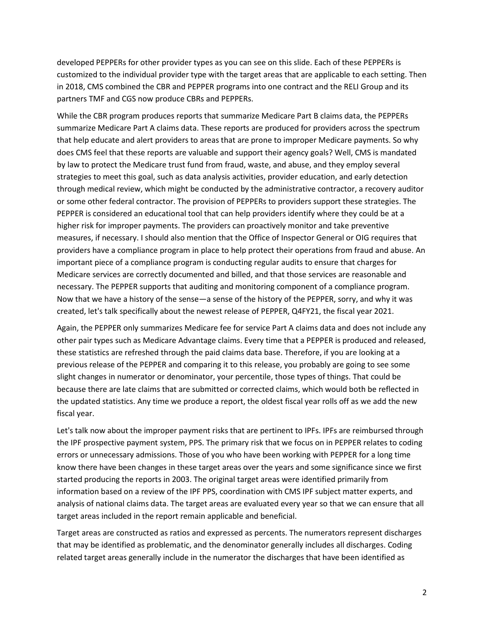developed PEPPERs for other provider types as you can see on this slide. Each of these PEPPERs is customized to the individual provider type with the target areas that are applicable to each setting. Then in 2018, CMS combined the CBR and PEPPER programs into one contract and the RELI Group and its partners TMF and CGS now produce CBRs and PEPPERs.

While the CBR program produces reports that summarize Medicare Part B claims data, the PEPPERs summarize Medicare Part A claims data. These reports are produced for providers across the spectrum that help educate and alert providers to areas that are prone to improper Medicare payments. So why does CMS feel that these reports are valuable and support their agency goals? Well, CMS is mandated by law to protect the Medicare trust fund from fraud, waste, and abuse, and they employ several strategies to meet this goal, such as data analysis activities, provider education, and early detection through medical review, which might be conducted by the administrative contractor, a recovery auditor or some other federal contractor. The provision of PEPPERs to providers support these strategies. The PEPPER is considered an educational tool that can help providers identify where they could be at a higher risk for improper payments. The providers can proactively monitor and take preventive measures, if necessary. I should also mention that the Office of Inspector General or OIG requires that providers have a compliance program in place to help protect their operations from fraud and abuse. An important piece of a compliance program is conducting regular audits to ensure that charges for Medicare services are correctly documented and billed, and that those services are reasonable and necessary. The PEPPER supports that auditing and monitoring component of a compliance program. Now that we have a history of the sense—a sense of the history of the PEPPER, sorry, and why it was created, let's talk specifically about the newest release of PEPPER, Q4FY21, the fiscal year 2021.

Again, the PEPPER only summarizes Medicare fee for service Part A claims data and does not include any other pair types such as Medicare Advantage claims. Every time that a PEPPER is produced and released, these statistics are refreshed through the paid claims data base. Therefore, if you are looking at a previous release of the PEPPER and comparing it to this release, you probably are going to see some slight changes in numerator or denominator, your percentile, those types of things. That could be because there are late claims that are submitted or corrected claims, which would both be reflected in the updated statistics. Any time we produce a report, the oldest fiscal year rolls off as we add the new fiscal year.

Let's talk now about the improper payment risks that are pertinent to IPFs. IPFs are reimbursed through the IPF prospective payment system, PPS. The primary risk that we focus on in PEPPER relates to coding errors or unnecessary admissions. Those of you who have been working with PEPPER for a long time know there have been changes in these target areas over the years and some significance since we first started producing the reports in 2003. The original target areas were identified primarily from information based on a review of the IPF PPS, coordination with CMS IPF subject matter experts, and analysis of national claims data. The target areas are evaluated every year so that we can ensure that all target areas included in the report remain applicable and beneficial.

Target areas are constructed as ratios and expressed as percents. The numerators represent discharges that may be identified as problematic, and the denominator generally includes all discharges. Coding related target areas generally include in the numerator the discharges that have been identified as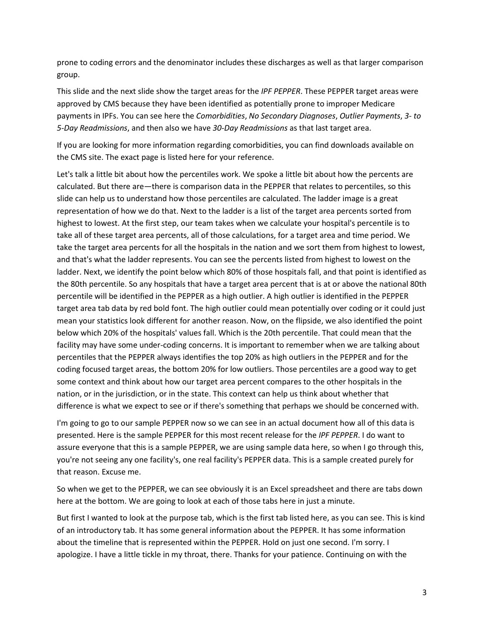prone to coding errors and the denominator includes these discharges as well as that larger comparison group.

This slide and the next slide show the target areas for the *IPF PEPPER*. These PEPPER target areas were approved by CMS because they have been identified as potentially prone to improper Medicare payments in IPFs. You can see here the *Comorbidities*, *No Secondary Diagnoses*, *Outlier Payments*, *3- to 5-Day Readmissions*, and then also we have *30-Day Readmissions* as that last target area.

If you are looking for more information regarding comorbidities, you can find downloads available on the CMS site. The exact page is listed here for your reference.

Let's talk a little bit about how the percentiles work. We spoke a little bit about how the percents are calculated. But there are—there is comparison data in the PEPPER that relates to percentiles, so this slide can help us to understand how those percentiles are calculated. The ladder image is a great representation of how we do that. Next to the ladder is a list of the target area percents sorted from highest to lowest. At the first step, our team takes when we calculate your hospital's percentile is to take all of these target area percents, all of those calculations, for a target area and time period. We take the target area percents for all the hospitals in the nation and we sort them from highest to lowest, and that's what the ladder represents. You can see the percents listed from highest to lowest on the ladder. Next, we identify the point below which 80% of those hospitals fall, and that point is identified as the 80th percentile. So any hospitals that have a target area percent that is at or above the national 80th percentile will be identified in the PEPPER as a high outlier. A high outlier is identified in the PEPPER target area tab data by red bold font. The high outlier could mean potentially over coding or it could just mean your statistics look different for another reason. Now, on the flipside, we also identified the point below which 20% of the hospitals' values fall. Which is the 20th percentile. That could mean that the facility may have some under-coding concerns. It is important to remember when we are talking about percentiles that the PEPPER always identifies the top 20% as high outliers in the PEPPER and for the coding focused target areas, the bottom 20% for low outliers. Those percentiles are a good way to get some context and think about how our target area percent compares to the other hospitals in the nation, or in the jurisdiction, or in the state. This context can help us think about whether that difference is what we expect to see or if there's something that perhaps we should be concerned with.

I'm going to go to our sample PEPPER now so we can see in an actual document how all of this data is presented. Here is the sample PEPPER for this most recent release for the *IPF PEPPER*. I do want to assure everyone that this is a sample PEPPER, we are using sample data here, so when I go through this, you're not seeing any one facility's, one real facility's PEPPER data. This is a sample created purely for that reason. Excuse me.

So when we get to the PEPPER, we can see obviously it is an Excel spreadsheet and there are tabs down here at the bottom. We are going to look at each of those tabs here in just a minute.

But first I wanted to look at the purpose tab, which is the first tab listed here, as you can see. This is kind of an introductory tab. It has some general information about the PEPPER. It has some information about the timeline that is represented within the PEPPER. Hold on just one second. I'm sorry. I apologize. I have a little tickle in my throat, there. Thanks for your patience. Continuing on with the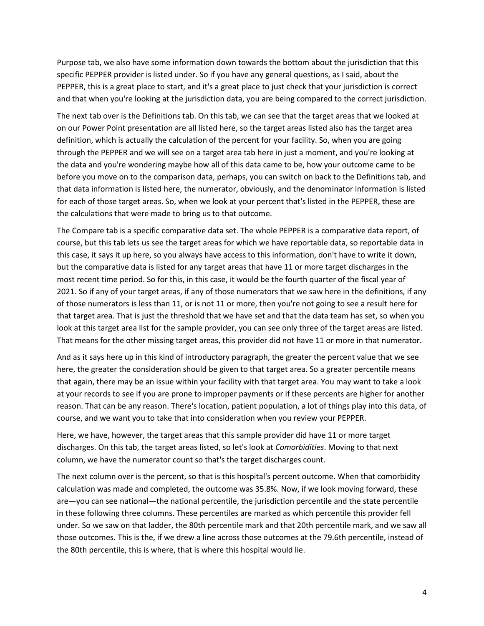Purpose tab, we also have some information down towards the bottom about the jurisdiction that this specific PEPPER provider is listed under. So if you have any general questions, as I said, about the PEPPER, this is a great place to start, and it's a great place to just check that your jurisdiction is correct and that when you're looking at the jurisdiction data, you are being compared to the correct jurisdiction.

The next tab over is the Definitions tab. On this tab, we can see that the target areas that we looked at on our Power Point presentation are all listed here, so the target areas listed also has the target area definition, which is actually the calculation of the percent for your facility. So, when you are going through the PEPPER and we will see on a target area tab here in just a moment, and you're looking at the data and you're wondering maybe how all of this data came to be, how your outcome came to be before you move on to the comparison data, perhaps, you can switch on back to the Definitions tab, and that data information is listed here, the numerator, obviously, and the denominator information is listed for each of those target areas. So, when we look at your percent that's listed in the PEPPER, these are the calculations that were made to bring us to that outcome.

The Compare tab is a specific comparative data set. The whole PEPPER is a comparative data report, of course, but this tab lets us see the target areas for which we have reportable data, so reportable data in this case, it says it up here, so you always have access to this information, don't have to write it down, but the comparative data is listed for any target areas that have 11 or more target discharges in the most recent time period. So for this, in this case, it would be the fourth quarter of the fiscal year of 2021. So if any of your target areas, if any of those numerators that we saw here in the definitions, if any of those numerators is less than 11, or is not 11 or more, then you're not going to see a result here for that target area. That is just the threshold that we have set and that the data team has set, so when you look at this target area list for the sample provider, you can see only three of the target areas are listed. That means for the other missing target areas, this provider did not have 11 or more in that numerator.

And as it says here up in this kind of introductory paragraph, the greater the percent value that we see here, the greater the consideration should be given to that target area. So a greater percentile means that again, there may be an issue within your facility with that target area. You may want to take a look at your records to see if you are prone to improper payments or if these percents are higher for another reason. That can be any reason. There's location, patient population, a lot of things play into this data, of course, and we want you to take that into consideration when you review your PEPPER.

Here, we have, however, the target areas that this sample provider did have 11 or more target discharges. On this tab, the target areas listed, so let's look at *Comorbidities*. Moving to that next column, we have the numerator count so that's the target discharges count.

The next column over is the percent, so that is this hospital's percent outcome. When that comorbidity calculation was made and completed, the outcome was 35.8%. Now, if we look moving forward, these are—you can see national—the national percentile, the jurisdiction percentile and the state percentile in these following three columns. These percentiles are marked as which percentile this provider fell under. So we saw on that ladder, the 80th percentile mark and that 20th percentile mark, and we saw all those outcomes. This is the, if we drew a line across those outcomes at the 79.6th percentile, instead of the 80th percentile, this is where, that is where this hospital would lie.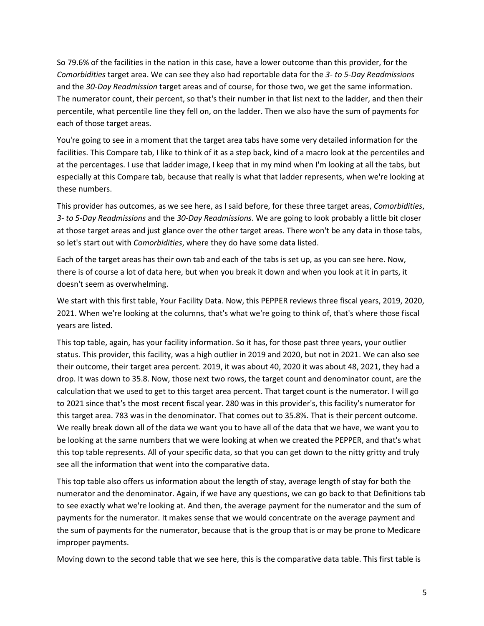So 79.6% of the facilities in the nation in this case, have a lower outcome than this provider, for the *Comorbidities* target area. We can see they also had reportable data for the *3- to 5-Day Readmissions* and the *30-Day Readmission* target areas and of course, for those two, we get the same information. The numerator count, their percent, so that's their number in that list next to the ladder, and then their percentile, what percentile line they fell on, on the ladder. Then we also have the sum of payments for each of those target areas.

You're going to see in a moment that the target area tabs have some very detailed information for the facilities. This Compare tab, I like to think of it as a step back, kind of a macro look at the percentiles and at the percentages. I use that ladder image, I keep that in my mind when I'm looking at all the tabs, but especially at this Compare tab, because that really is what that ladder represents, when we're looking at these numbers.

This provider has outcomes, as we see here, as I said before, for these three target areas, *Comorbidities*, *3- to 5-Day Readmissions* and the *30-Day Readmissions*. We are going to look probably a little bit closer at those target areas and just glance over the other target areas. There won't be any data in those tabs, so let's start out with *Comorbidities*, where they do have some data listed.

Each of the target areas has their own tab and each of the tabs is set up, as you can see here. Now, there is of course a lot of data here, but when you break it down and when you look at it in parts, it doesn't seem as overwhelming.

We start with this first table, Your Facility Data. Now, this PEPPER reviews three fiscal years, 2019, 2020, 2021. When we're looking at the columns, that's what we're going to think of, that's where those fiscal years are listed.

This top table, again, has your facility information. So it has, for those past three years, your outlier status. This provider, this facility, was a high outlier in 2019 and 2020, but not in 2021. We can also see their outcome, their target area percent. 2019, it was about 40, 2020 it was about 48, 2021, they had a drop. It was down to 35.8. Now, those next two rows, the target count and denominator count, are the calculation that we used to get to this target area percent. That target count is the numerator. I will go to 2021 since that's the most recent fiscal year. 280 was in this provider's, this facility's numerator for this target area. 783 was in the denominator. That comes out to 35.8%. That is their percent outcome. We really break down all of the data we want you to have all of the data that we have, we want you to be looking at the same numbers that we were looking at when we created the PEPPER, and that's what this top table represents. All of your specific data, so that you can get down to the nitty gritty and truly see all the information that went into the comparative data.

This top table also offers us information about the length of stay, average length of stay for both the numerator and the denominator. Again, if we have any questions, we can go back to that Definitions tab to see exactly what we're looking at. And then, the average payment for the numerator and the sum of payments for the numerator. It makes sense that we would concentrate on the average payment and the sum of payments for the numerator, because that is the group that is or may be prone to Medicare improper payments.

Moving down to the second table that we see here, this is the comparative data table. This first table is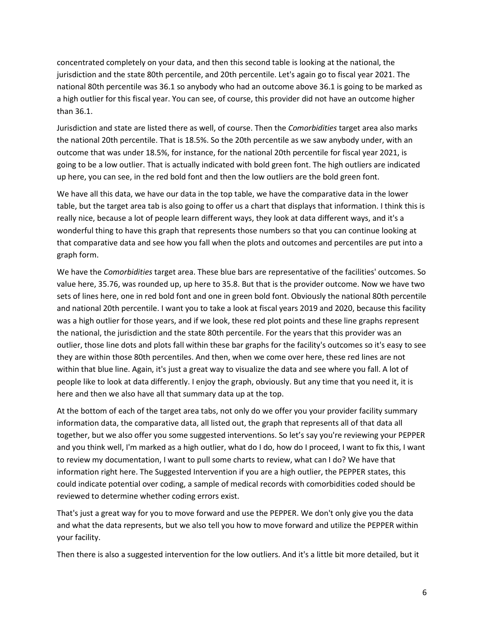concentrated completely on your data, and then this second table is looking at the national, the jurisdiction and the state 80th percentile, and 20th percentile. Let's again go to fiscal year 2021. The national 80th percentile was 36.1 so anybody who had an outcome above 36.1 is going to be marked as a high outlier for this fiscal year. You can see, of course, this provider did not have an outcome higher than 36.1.

Jurisdiction and state are listed there as well, of course. Then the *Comorbidities* target area also marks the national 20th percentile. That is 18.5%. So the 20th percentile as we saw anybody under, with an outcome that was under 18.5%, for instance, for the national 20th percentile for fiscal year 2021, is going to be a low outlier. That is actually indicated with bold green font. The high outliers are indicated up here, you can see, in the red bold font and then the low outliers are the bold green font.

We have all this data, we have our data in the top table, we have the comparative data in the lower table, but the target area tab is also going to offer us a chart that displays that information. I think this is really nice, because a lot of people learn different ways, they look at data different ways, and it's a wonderful thing to have this graph that represents those numbers so that you can continue looking at that comparative data and see how you fall when the plots and outcomes and percentiles are put into a graph form.

We have the *Comorbidities* target area. These blue bars are representative of the facilities' outcomes. So value here, 35.76, was rounded up, up here to 35.8. But that is the provider outcome. Now we have two sets of lines here, one in red bold font and one in green bold font. Obviously the national 80th percentile and national 20th percentile. I want you to take a look at fiscal years 2019 and 2020, because this facility was a high outlier for those years, and if we look, these red plot points and these line graphs represent the national, the jurisdiction and the state 80th percentile. For the years that this provider was an outlier, those line dots and plots fall within these bar graphs for the facility's outcomes so it's easy to see they are within those 80th percentiles. And then, when we come over here, these red lines are not within that blue line. Again, it's just a great way to visualize the data and see where you fall. A lot of people like to look at data differently. I enjoy the graph, obviously. But any time that you need it, it is here and then we also have all that summary data up at the top.

At the bottom of each of the target area tabs, not only do we offer you your provider facility summary information data, the comparative data, all listed out, the graph that represents all of that data all together, but we also offer you some suggested interventions. So let's say you're reviewing your PEPPER and you think well, I'm marked as a high outlier, what do I do, how do I proceed, I want to fix this, I want to review my documentation, I want to pull some charts to review, what can I do? We have that information right here. The Suggested Intervention if you are a high outlier, the PEPPER states, this could indicate potential over coding, a sample of medical records with comorbidities coded should be reviewed to determine whether coding errors exist.

That's just a great way for you to move forward and use the PEPPER. We don't only give you the data and what the data represents, but we also tell you how to move forward and utilize the PEPPER within your facility.

Then there is also a suggested intervention for the low outliers. And it's a little bit more detailed, but it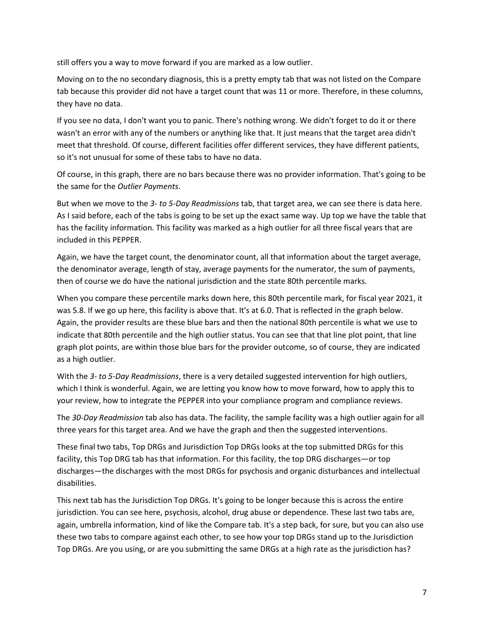still offers you a way to move forward if you are marked as a low outlier.

Moving on to the no secondary diagnosis, this is a pretty empty tab that was not listed on the Compare tab because this provider did not have a target count that was 11 or more. Therefore, in these columns, they have no data.

If you see no data, I don't want you to panic. There's nothing wrong. We didn't forget to do it or there wasn't an error with any of the numbers or anything like that. It just means that the target area didn't meet that threshold. Of course, different facilities offer different services, they have different patients, so it's not unusual for some of these tabs to have no data.

Of course, in this graph, there are no bars because there was no provider information. That's going to be the same for the *Outlier Payments*.

But when we move to the *3- to 5-Day Readmissions* tab, that target area, we can see there is data here. As I said before, each of the tabs is going to be set up the exact same way. Up top we have the table that has the facility information. This facility was marked as a high outlier for all three fiscal years that are included in this PEPPER.

Again, we have the target count, the denominator count, all that information about the target average, the denominator average, length of stay, average payments for the numerator, the sum of payments, then of course we do have the national jurisdiction and the state 80th percentile marks.

When you compare these percentile marks down here, this 80th percentile mark, for fiscal year 2021, it was 5.8. If we go up here, this facility is above that. It's at 6.0. That is reflected in the graph below. Again, the provider results are these blue bars and then the national 80th percentile is what we use to indicate that 80th percentile and the high outlier status. You can see that that line plot point, that line graph plot points, are within those blue bars for the provider outcome, so of course, they are indicated as a high outlier.

With the *3- to 5-Day Readmissions*, there is a very detailed suggested intervention for high outliers, which I think is wonderful. Again, we are letting you know how to move forward, how to apply this to your review, how to integrate the PEPPER into your compliance program and compliance reviews.

The *30-Day Readmission* tab also has data. The facility, the sample facility was a high outlier again for all three years for this target area. And we have the graph and then the suggested interventions.

These final two tabs, Top DRGs and Jurisdiction Top DRGs looks at the top submitted DRGs for this facility, this Top DRG tab has that information. For this facility, the top DRG discharges—or top discharges—the discharges with the most DRGs for psychosis and organic disturbances and intellectual disabilities.

This next tab has the Jurisdiction Top DRGs. It's going to be longer because this is across the entire jurisdiction. You can see here, psychosis, alcohol, drug abuse or dependence. These last two tabs are, again, umbrella information, kind of like the Compare tab. It's a step back, for sure, but you can also use these two tabs to compare against each other, to see how your top DRGs stand up to the Jurisdiction Top DRGs. Are you using, or are you submitting the same DRGs at a high rate as the jurisdiction has?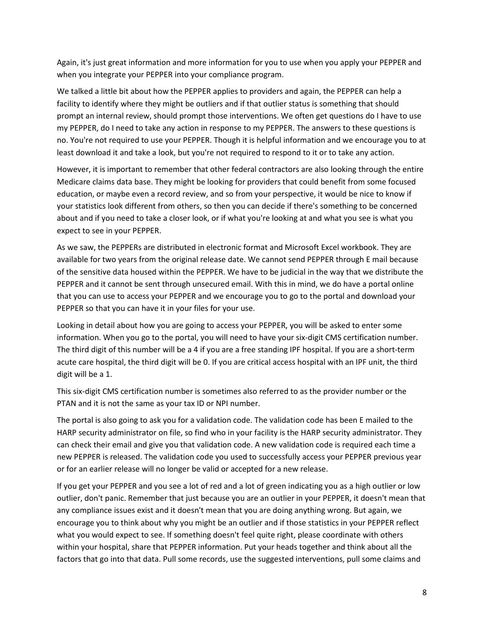Again, it's just great information and more information for you to use when you apply your PEPPER and when you integrate your PEPPER into your compliance program.

We talked a little bit about how the PEPPER applies to providers and again, the PEPPER can help a facility to identify where they might be outliers and if that outlier status is something that should prompt an internal review, should prompt those interventions. We often get questions do I have to use my PEPPER, do I need to take any action in response to my PEPPER. The answers to these questions is no. You're not required to use your PEPPER. Though it is helpful information and we encourage you to at least download it and take a look, but you're not required to respond to it or to take any action.

However, it is important to remember that other federal contractors are also looking through the entire Medicare claims data base. They might be looking for providers that could benefit from some focused education, or maybe even a record review, and so from your perspective, it would be nice to know if your statistics look different from others, so then you can decide if there's something to be concerned about and if you need to take a closer look, or if what you're looking at and what you see is what you expect to see in your PEPPER.

As we saw, the PEPPERs are distributed in electronic format and Microsoft Excel workbook. They are available for two years from the original release date. We cannot send PEPPER through E mail because of the sensitive data housed within the PEPPER. We have to be judicial in the way that we distribute the PEPPER and it cannot be sent through unsecured email. With this in mind, we do have a portal online that you can use to access your PEPPER and we encourage you to go to the portal and download your PEPPER so that you can have it in your files for your use.

Looking in detail about how you are going to access your PEPPER, you will be asked to enter some information. When you go to the portal, you will need to have your six-digit CMS certification number. The third digit of this number will be a 4 if you are a free standing IPF hospital. If you are a short-term acute care hospital, the third digit will be 0. If you are critical access hospital with an IPF unit, the third digit will be a 1.

This six-digit CMS certification number is sometimes also referred to as the provider number or the PTAN and it is not the same as your tax ID or NPI number.

The portal is also going to ask you for a validation code. The validation code has been E mailed to the HARP security administrator on file, so find who in your facility is the HARP security administrator. They can check their email and give you that validation code. A new validation code is required each time a new PEPPER is released. The validation code you used to successfully access your PEPPER previous year or for an earlier release will no longer be valid or accepted for a new release.

If you get your PEPPER and you see a lot of red and a lot of green indicating you as a high outlier or low outlier, don't panic. Remember that just because you are an outlier in your PEPPER, it doesn't mean that any compliance issues exist and it doesn't mean that you are doing anything wrong. But again, we encourage you to think about why you might be an outlier and if those statistics in your PEPPER reflect what you would expect to see. If something doesn't feel quite right, please coordinate with others within your hospital, share that PEPPER information. Put your heads together and think about all the factors that go into that data. Pull some records, use the suggested interventions, pull some claims and